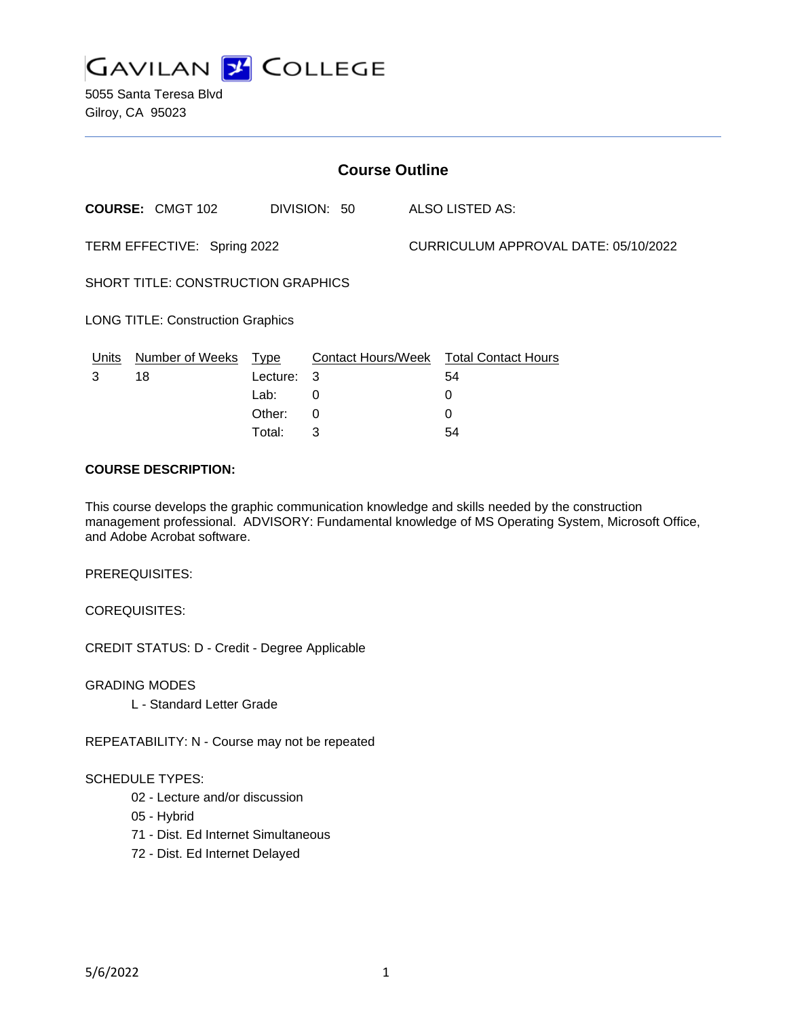

5055 Santa Teresa Blvd Gilroy, CA 95023

| <b>Course Outline</b>                     |                         |          |              |  |                                        |  |
|-------------------------------------------|-------------------------|----------|--------------|--|----------------------------------------|--|
|                                           | <b>COURSE: CMGT 102</b> |          | DIVISION: 50 |  | <b>ALSO LISTED AS:</b>                 |  |
| TERM EFFECTIVE: Spring 2022               |                         |          |              |  | CURRICULUM APPROVAL DATE: 05/10/2022   |  |
| <b>SHORT TITLE: CONSTRUCTION GRAPHICS</b> |                         |          |              |  |                                        |  |
| <b>LONG TITLE: Construction Graphics</b>  |                         |          |              |  |                                        |  |
| <u>Units</u>                              | Number of Weeks Type    |          |              |  | Contact Hours/Week Total Contact Hours |  |
| 3                                         | 18                      | Lecture: | 3            |  | 54                                     |  |
|                                           |                         | Lab:     | 0            |  | 0                                      |  |
|                                           |                         | Other:   | $\Omega$     |  | 0                                      |  |
|                                           |                         | Total:   | 3            |  | 54                                     |  |

### **COURSE DESCRIPTION:**

This course develops the graphic communication knowledge and skills needed by the construction management professional. ADVISORY: Fundamental knowledge of MS Operating System, Microsoft Office, and Adobe Acrobat software.

PREREQUISITES:

COREQUISITES:

CREDIT STATUS: D - Credit - Degree Applicable

GRADING MODES

L - Standard Letter Grade

REPEATABILITY: N - Course may not be repeated

#### SCHEDULE TYPES:

- 02 Lecture and/or discussion
- 05 Hybrid
- 71 Dist. Ed Internet Simultaneous
- 72 Dist. Ed Internet Delayed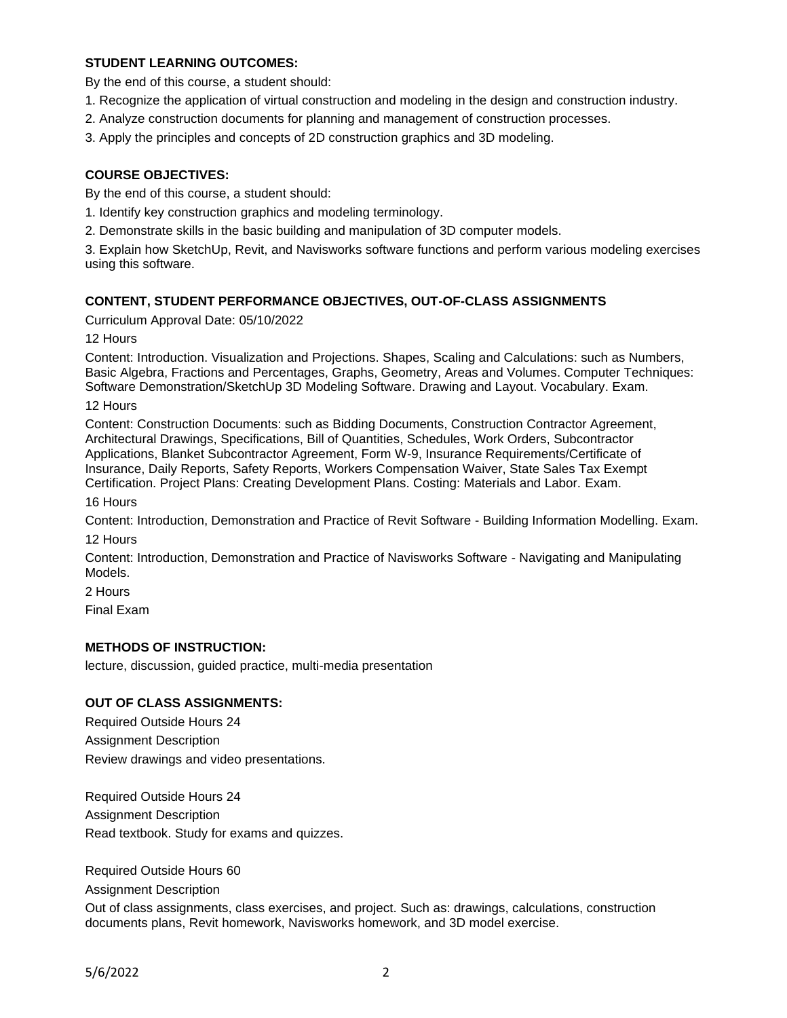# **STUDENT LEARNING OUTCOMES:**

By the end of this course, a student should:

- 1. Recognize the application of virtual construction and modeling in the design and construction industry.
- 2. Analyze construction documents for planning and management of construction processes.
- 3. Apply the principles and concepts of 2D construction graphics and 3D modeling.

## **COURSE OBJECTIVES:**

By the end of this course, a student should:

- 1. Identify key construction graphics and modeling terminology.
- 2. Demonstrate skills in the basic building and manipulation of 3D computer models.

3. Explain how SketchUp, Revit, and Navisworks software functions and perform various modeling exercises using this software.

### **CONTENT, STUDENT PERFORMANCE OBJECTIVES, OUT-OF-CLASS ASSIGNMENTS**

Curriculum Approval Date: 05/10/2022

12 Hours

Content: Introduction. Visualization and Projections. Shapes, Scaling and Calculations: such as Numbers, Basic Algebra, Fractions and Percentages, Graphs, Geometry, Areas and Volumes. Computer Techniques: Software Demonstration/SketchUp 3D Modeling Software. Drawing and Layout. Vocabulary. Exam.

12 Hours

Content: Construction Documents: such as Bidding Documents, Construction Contractor Agreement, Architectural Drawings, Specifications, Bill of Quantities, Schedules, Work Orders, Subcontractor Applications, Blanket Subcontractor Agreement, Form W-9, Insurance Requirements/Certificate of Insurance, Daily Reports, Safety Reports, Workers Compensation Waiver, State Sales Tax Exempt Certification. Project Plans: Creating Development Plans. Costing: Materials and Labor. Exam.

16 Hours

Content: Introduction, Demonstration and Practice of Revit Software - Building Information Modelling. Exam. 12 Hours

Content: Introduction, Demonstration and Practice of Navisworks Software - Navigating and Manipulating Models.

2 Hours

Final Exam

#### **METHODS OF INSTRUCTION:**

lecture, discussion, guided practice, multi-media presentation

#### **OUT OF CLASS ASSIGNMENTS:**

Required Outside Hours 24 Assignment Description Review drawings and video presentations.

Required Outside Hours 24 Assignment Description Read textbook. Study for exams and quizzes.

Required Outside Hours 60

Assignment Description

Out of class assignments, class exercises, and project. Such as: drawings, calculations, construction documents plans, Revit homework, Navisworks homework, and 3D model exercise.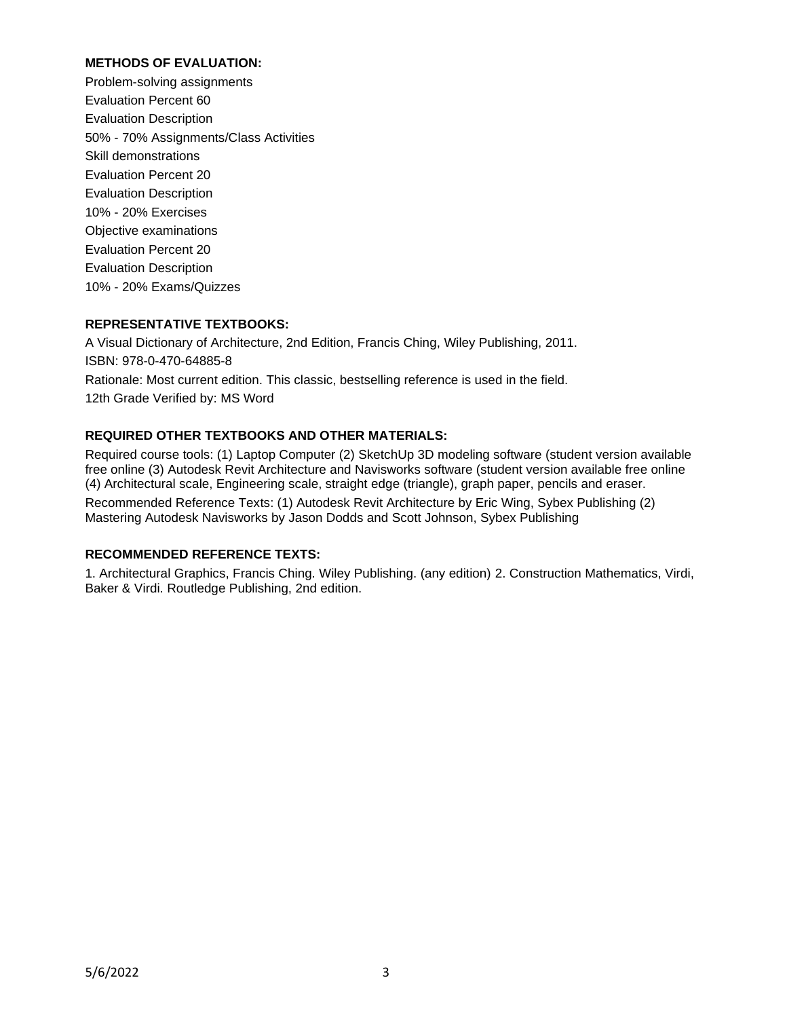# **METHODS OF EVALUATION:**

Problem-solving assignments Evaluation Percent 60 Evaluation Description 50% - 70% Assignments/Class Activities Skill demonstrations Evaluation Percent 20 Evaluation Description 10% - 20% Exercises Objective examinations Evaluation Percent 20 Evaluation Description 10% - 20% Exams/Quizzes

## **REPRESENTATIVE TEXTBOOKS:**

A Visual Dictionary of Architecture, 2nd Edition, Francis Ching, Wiley Publishing, 2011. ISBN: 978-0-470-64885-8 Rationale: Most current edition. This classic, bestselling reference is used in the field. 12th Grade Verified by: MS Word

## **REQUIRED OTHER TEXTBOOKS AND OTHER MATERIALS:**

Required course tools: (1) Laptop Computer (2) SketchUp 3D modeling software (student version available free online (3) Autodesk Revit Architecture and Navisworks software (student version available free online (4) Architectural scale, Engineering scale, straight edge (triangle), graph paper, pencils and eraser. Recommended Reference Texts: (1) Autodesk Revit Architecture by Eric Wing, Sybex Publishing (2) Mastering Autodesk Navisworks by Jason Dodds and Scott Johnson, Sybex Publishing

# **RECOMMENDED REFERENCE TEXTS:**

1. Architectural Graphics, Francis Ching. Wiley Publishing. (any edition) 2. Construction Mathematics, Virdi, Baker & Virdi. Routledge Publishing, 2nd edition.